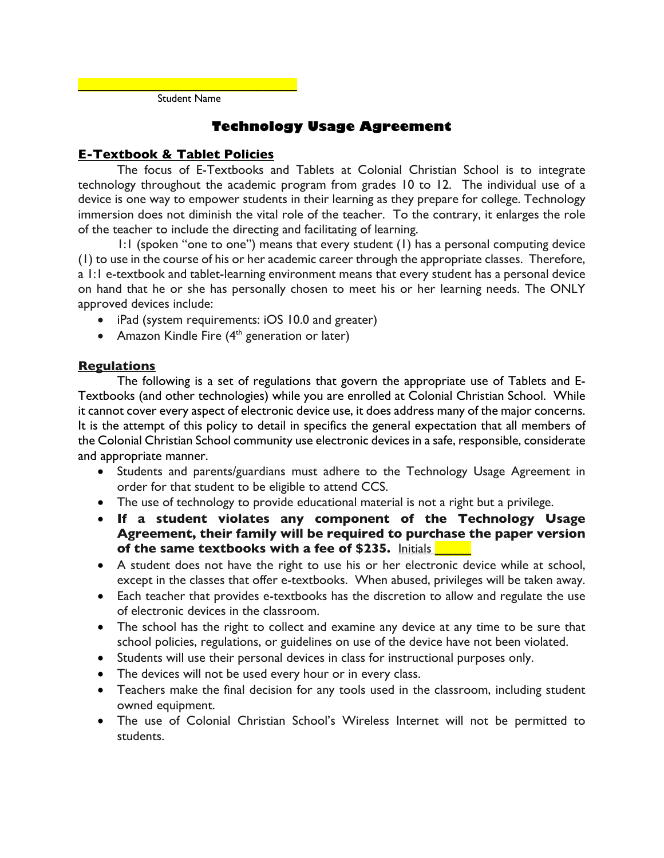**\_\_\_\_\_\_\_\_\_\_\_\_\_\_\_\_\_\_\_\_\_\_\_\_\_\_\_\_\_\_\_\_\_** Student Name

# **Technology Usage Agreement**

### **E-Textbook & Tablet Policies**

The focus of E-Textbooks and Tablets at Colonial Christian School is to integrate technology throughout the academic program from grades 10 to 12. The individual use of a device is one way to empower students in their learning as they prepare for college. Technology immersion does not diminish the vital role of the teacher. To the contrary, it enlarges the role of the teacher to include the directing and facilitating of learning.

1:1 (spoken "one to one") means that every student (1) has a personal computing device (1) to use in the course of his or her academic career through the appropriate classes. Therefore, a 1:1 e-textbook and tablet-learning environment means that every student has a personal device on hand that he or she has personally chosen to meet his or her learning needs. The ONLY approved devices include:

- iPad (system requirements: iOS 10.0 and greater)
- Amazon Kindle Fire  $(4<sup>th</sup>$  generation or later)

#### **Regulations**

The following is a set of regulations that govern the appropriate use of Tablets and E-Textbooks (and other technologies) while you are enrolled at Colonial Christian School. While it cannot cover every aspect of electronic device use, it does address many of the major concerns. It is the attempt of this policy to detail in specifics the general expectation that all members of the Colonial Christian School community use electronic devices in a safe, responsible, considerate and appropriate manner.

- Students and parents/guardians must adhere to the Technology Usage Agreement in order for that student to be eligible to attend CCS.
- The use of technology to provide educational material is not a right but a privilege.
- **If a student violates any component of the Technology Usage Agreement, their family will be required to purchase the paper version of the same textbooks with a fee of \$235.** Initials
- A student does not have the right to use his or her electronic device while at school, except in the classes that offer e-textbooks. When abused, privileges will be taken away.
- Each teacher that provides e-textbooks has the discretion to allow and regulate the use of electronic devices in the classroom.
- The school has the right to collect and examine any device at any time to be sure that school policies, regulations, or guidelines on use of the device have not been violated.
- Students will use their personal devices in class for instructional purposes only.
- The devices will not be used every hour or in every class.
- Teachers make the final decision for any tools used in the classroom, including student owned equipment.
- The use of Colonial Christian School's Wireless Internet will not be permitted to students.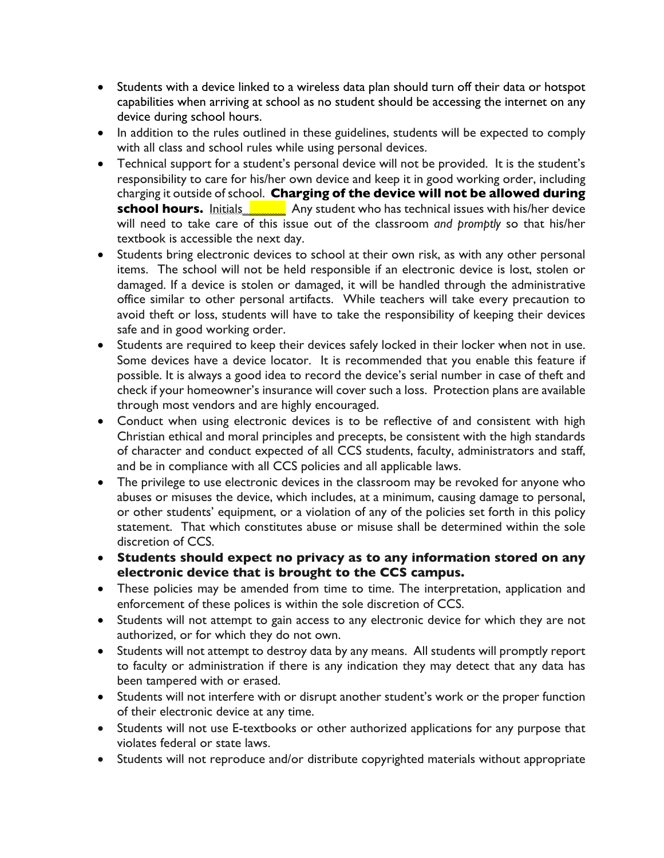- Students with a device linked to a wireless data plan should turn off their data or hotspot capabilities when arriving at school as no student should be accessing the internet on any device during school hours.
- In addition to the rules outlined in these guidelines, students will be expected to comply with all class and school rules while using personal devices.
- Technical support for a student's personal device will not be provided. It is the student's responsibility to care for his/her own device and keep it in good working order, including charging it outside of school. **Charging of the device will not be allowed during school hours.** Initials **Any student who has technical issues with his/her device** will need to take care of this issue out of the classroom *and promptly* so that his/her textbook is accessible the next day.
- Students bring electronic devices to school at their own risk, as with any other personal items. The school will not be held responsible if an electronic device is lost, stolen or damaged. If a device is stolen or damaged, it will be handled through the administrative office similar to other personal artifacts. While teachers will take every precaution to avoid theft or loss, students will have to take the responsibility of keeping their devices safe and in good working order.
- Students are required to keep their devices safely locked in their locker when not in use. Some devices have a device locator. It is recommended that you enable this feature if possible. It is always a good idea to record the device's serial number in case of theft and check if your homeowner's insurance will cover such a loss. Protection plans are available through most vendors and are highly encouraged.
- Conduct when using electronic devices is to be reflective of and consistent with high Christian ethical and moral principles and precepts, be consistent with the high standards of character and conduct expected of all CCS students, faculty, administrators and staff, and be in compliance with all CCS policies and all applicable laws.
- The privilege to use electronic devices in the classroom may be revoked for anyone who abuses or misuses the device, which includes, at a minimum, causing damage to personal, or other students' equipment, or a violation of any of the policies set forth in this policy statement. That which constitutes abuse or misuse shall be determined within the sole discretion of CCS.
- **Students should expect no privacy as to any information stored on any electronic device that is brought to the CCS campus.**
- These policies may be amended from time to time. The interpretation, application and enforcement of these polices is within the sole discretion of CCS.
- Students will not attempt to gain access to any electronic device for which they are not authorized, or for which they do not own.
- Students will not attempt to destroy data by any means. All students will promptly report to faculty or administration if there is any indication they may detect that any data has been tampered with or erased.
- Students will not interfere with or disrupt another student's work or the proper function of their electronic device at any time.
- Students will not use E-textbooks or other authorized applications for any purpose that violates federal or state laws.
- Students will not reproduce and/or distribute copyrighted materials without appropriate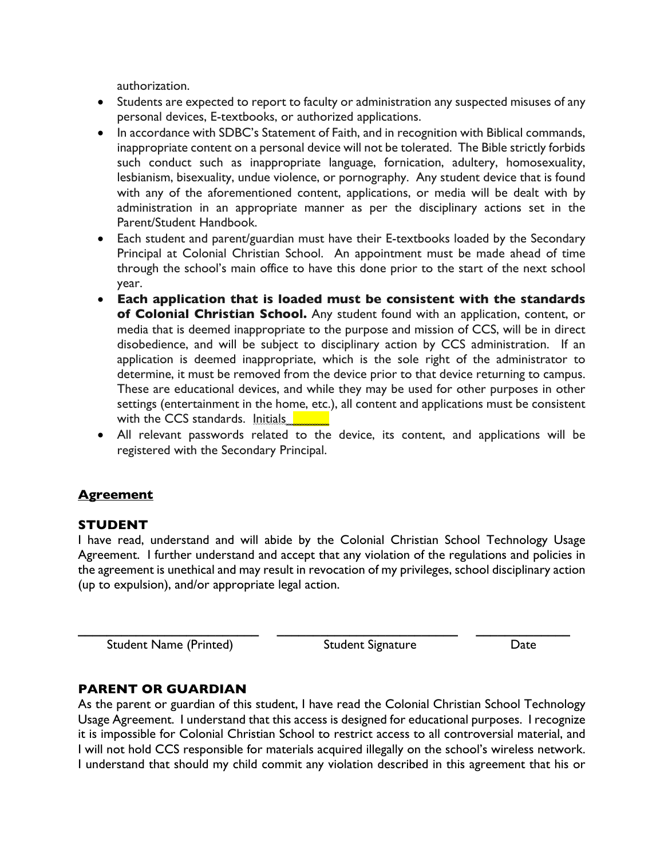authorization.

- Students are expected to report to faculty or administration any suspected misuses of any personal devices, E-textbooks, or authorized applications.
- In accordance with SDBC's Statement of Faith, and in recognition with Biblical commands, inappropriate content on a personal device will not be tolerated. The Bible strictly forbids such conduct such as inappropriate language, fornication, adultery, homosexuality, lesbianism, bisexuality, undue violence, or pornography. Any student device that is found with any of the aforementioned content, applications, or media will be dealt with by administration in an appropriate manner as per the disciplinary actions set in the Parent/Student Handbook.
- Each student and parent/guardian must have their E-textbooks loaded by the Secondary Principal at Colonial Christian School. An appointment must be made ahead of time through the school's main office to have this done prior to the start of the next school year.
- **Each application that is loaded must be consistent with the standards of Colonial Christian School.** Any student found with an application, content, or media that is deemed inappropriate to the purpose and mission of CCS, will be in direct disobedience, and will be subject to disciplinary action by CCS administration. If an application is deemed inappropriate, which is the sole right of the administrator to determine, it must be removed from the device prior to that device returning to campus. These are educational devices, and while they may be used for other purposes in other settings (entertainment in the home, etc.), all content and applications must be consistent with the CCS standards. Initials
- All relevant passwords related to the device, its content, and applications will be registered with the Secondary Principal.

## **Agreement**

#### **STUDENT**

I have read, understand and will abide by the Colonial Christian School Technology Usage Agreement. I further understand and accept that any violation of the regulations and policies in the agreement is unethical and may result in revocation of my privileges, school disciplinary action (up to expulsion), and/or appropriate legal action.

**\_\_\_\_\_\_\_\_\_\_\_\_\_\_\_\_\_\_\_\_\_\_\_\_\_ \_\_\_\_\_\_\_\_\_\_\_\_\_\_\_\_\_\_\_\_\_\_\_\_\_ \_\_\_\_\_\_\_\_\_\_\_\_\_**

Student Name (Printed) Student Signature Date

## **PARENT OR GUARDIAN**

As the parent or guardian of this student, I have read the Colonial Christian School Technology Usage Agreement. I understand that this access is designed for educational purposes. I recognize it is impossible for Colonial Christian School to restrict access to all controversial material, and I will not hold CCS responsible for materials acquired illegally on the school's wireless network. I understand that should my child commit any violation described in this agreement that his or